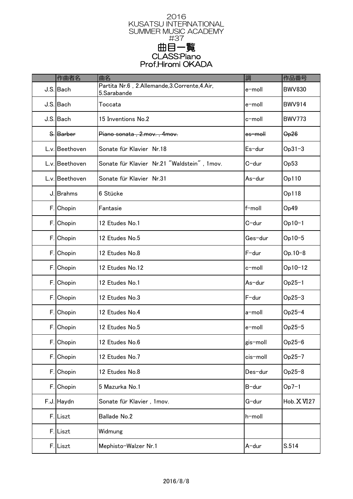

|    | 作曲者名           | 曲名                                                           | 調                  | 作品番号                       |
|----|----------------|--------------------------------------------------------------|--------------------|----------------------------|
|    | J.S. Bach      | Partita Nr.6, 2.Allemande, 3.Corrente, 4.Air,<br>5.Sarabande | e-moll             | <b>BWV830</b>              |
|    | J.S. Bach      | Toccata                                                      | e-moll             | <b>BWV914</b>              |
|    | J.S. Bach      | 15 Inventions No.2                                           | c-moll             | <b>BWV773</b>              |
|    | S. Barber      | Piano sonata, 2.mov., 4mov.                                  | <del>es−moll</del> | $\Theta$ <sub>p</sub> $26$ |
|    | L.v. Beethoven | Sonate für Klavier Nr.18                                     | Es-dur             | $Op31-3$                   |
|    | L.v. Beethoven | Sonate für Klavier Nr.21 "Waldstein", 1mov.                  | C-dur              | Op53                       |
|    | L.v. Beethoven | Sonate für Klavier Nr.31                                     | As-dur             | Op110                      |
|    | J. Brahms      | 6 Stücke                                                     |                    | Op118                      |
|    | F. Chopin      | Fantasie                                                     | f-moll             | Op49                       |
| F. | Chopin         | 12 Etudes No.1                                               | C-dur              | $Op10-1$                   |
|    | F. Chopin      | 12 Etudes No.5                                               | Ges-dur            | $Op10-5$                   |
| F. | Chopin         | 12 Etudes No.8                                               | F-dur              | Op.10-8                    |
|    | F. Chopin      | 12 Etudes No.12                                              | c-moll             | Op10-12                    |
|    | F. Chopin      | 12 Etudes No.1                                               | As-dur             | $Op25-1$                   |
| F. | Chopin         | 12 Etudes No.3                                               | F-dur              | $Op25-3$                   |
| F. | Chopin         | 12 Etudes No.4                                               | a-moll             | $Op25-4$                   |
| F. | Chopin         | 12 Etudes No.5                                               | e-moll             | $Op25-5$                   |
|    | F. Chopin      | 12 Etudes No.6                                               | gis-moll           | $Op25-6$                   |
|    | F. Chopin      | 12 Etudes No.7                                               | cis-moll           | $Op25-7$                   |
| F. | Chopin         | 12 Etudes No.8                                               | Des-dur            | $Op25-8$                   |
| F. | Chopin         | 5 Mazurka No.1                                               | B-dur              | $Op7-1$                    |
|    | F.J. Haydn     | Sonate für Klavier, 1mov.                                    | G-dur              | Hob. XVI27                 |
|    | F. Liszt       | <b>Ballade No.2</b>                                          | h-moll             |                            |
|    | F.Liszt        | Widmung                                                      |                    |                            |
|    | F. Liszt       | Mephisto-Walzer Nr.1                                         | A-dur              | S.514                      |